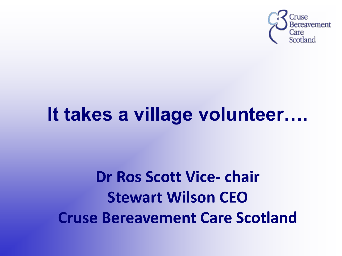

#### **It takes a village volunteer….**

#### **Dr Ros Scott Vice- chair Stewart Wilson CEO Cruse Bereavement Care Scotland**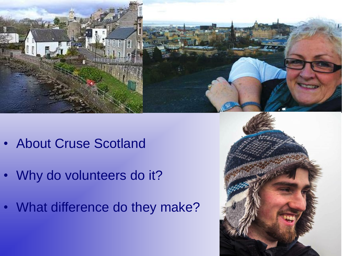

- About Cruse Scotland
- Why do volunteers do it?
- What difference do they make?

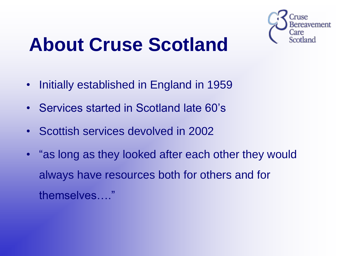

## **About Cruse Scotland**

- Initially established in England in 1959
- Services started in Scotland late 60's
- Scottish services devolved in 2002
- "as long as they looked after each other they would always have resources both for others and for themselves…."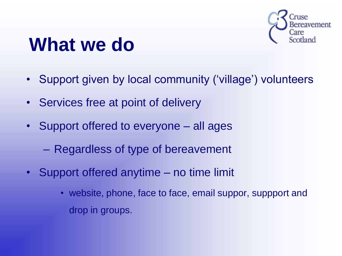

#### **What we do**

- Support given by local community ('village') volunteers
- Services free at point of delivery
- Support offered to everyone all ages
	- Regardless of type of bereavement
- Support offered anytime no time limit
	- website, phone, face to face, email suppor, suppport and drop in groups.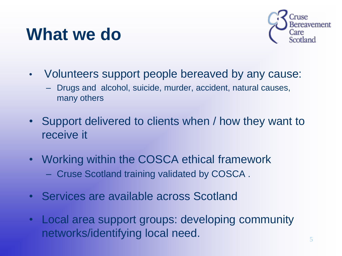#### **What we do**



- Volunteers support people bereaved by any cause:
	- Drugs and alcohol, suicide, murder, accident, natural causes, many others
- Support delivered to clients when / how they want to receive it
- Working within the COSCA ethical framework – Cruse Scotland training validated by COSCA .
- Services are available across Scotland
- Local area support groups: developing community networks/identifying local need.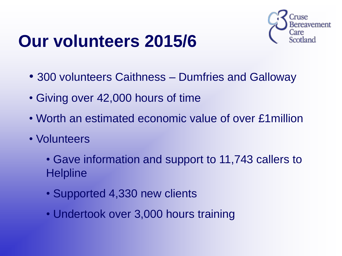

#### **Our volunteers 2015/6**

- 300 volunteers Caithness Dumfries and Galloway
- Giving over 42,000 hours of time
- Worth an estimated economic value of over £1million
- Volunteers
	- Gave information and support to 11,743 callers to **Helpline**
	- Supported 4,330 new clients
	- Undertook over 3,000 hours training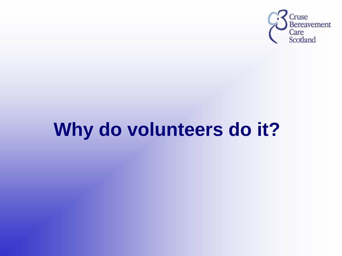

## **Why do volunteers do it?**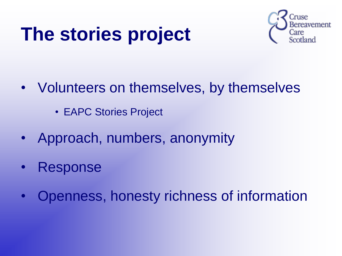# **The stories project**



- Volunteers on themselves, by themselves
	- EAPC Stories Project
- Approach, numbers, anonymity
- **Response**
- Openness, honesty richness of information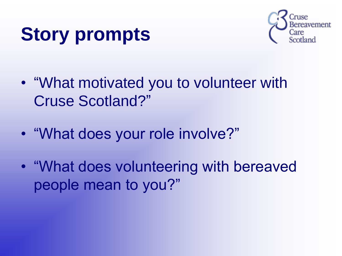# **Story prompts**



- "What motivated you to volunteer with Cruse Scotland?"
- "What does your role involve?"
- "What does volunteering with bereaved people mean to you?"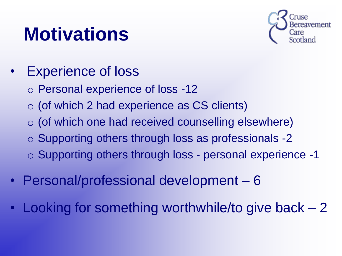## **Motivations**



- Experience of loss
	- o Personal experience of loss -12
	- o (of which 2 had experience as CS clients)
	- $\circ$  (of which one had received counselling elsewhere)
	- o Supporting others through loss as professionals -2
	- o Supporting others through loss personal experience -1
- Personal/professional development 6
- Looking for something worthwhile/to give back 2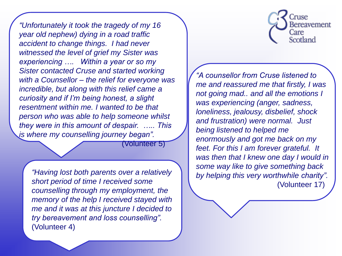*"Unfortunately it took the tragedy of my 16 year old nephew) dying in a road traffic accident to change things. I had never witnessed the level of grief my Sister was experiencing …. Within a year or so my Sister contacted Cruse and started working with a Counsellor – the relief for everyone was incredible, but along with this relief came a curiosity and if I'm being honest, a slight resentment within me. I wanted to be that person who was able to help someone whilst they were in this amount of despair. ….. This is where my counselling journey began".* 

(Volunteer 5)

*"Having lost both parents over a relatively short period of time I received some counselling through my employment, the memory of the help I received stayed with me and it was at this juncture I decided to try bereavement and loss counselling".*  (Volunteer 4)



*"A counsellor from Cruse listened to me and reassured me that firstly, I was not going mad.. and all the emotions I was experiencing (anger, sadness, loneliness, jealousy, disbelief, shock and frustration) were normal. Just being listened to helped me enormously and got me back on my feet. For this I am forever grateful. It was then that I knew one day I would in some way like to give something back by helping this very worthwhile charity".*  (Volunteer 17)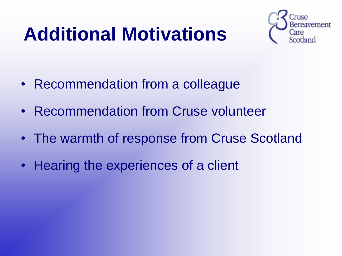# **Additional Motivations**



- Recommendation from a colleague
- Recommendation from Cruse volunteer
- The warmth of response from Cruse Scotland
- Hearing the experiences of a client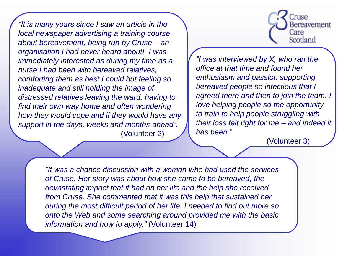*"It is many years since I saw an article in the local newspaper advertising a training course about bereavement, being run by Cruse – an organisation I had never heard about! I was immediately interested as during my time as a nurse I had been with bereaved relatives, comforting them as best I could but feeling so inadequate and still holding the image of distressed relatives leaving the ward, having to find their own way home and often wondering how they would cope and if they would have any support in the days, weeks and months ahead".*  (Volunteer 2)



*"I was interviewed by X, who ran the office at that time and found her enthusiasm and passion supporting bereaved people so infectious that I agreed there and then to join the team. I love helping people so the opportunity to train to help people struggling with their loss felt right for me – and indeed it has been."*

(Volunteer 3)

*"It was a chance discussion with a woman who had used the services of Cruse. Her story was about how she came to be bereaved, the devastating impact that it had on her life and the help she received from Cruse. She commented that it was this help that sustained her during the most difficult period of her life. I needed to find out more so onto the Web and some searching around provided me with the basic information and how to apply."* (Volunteer 14)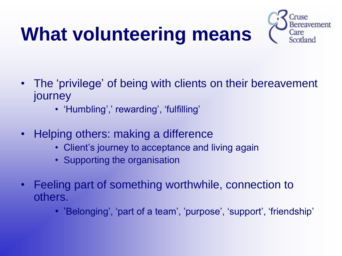# **What volunteering means**



- The 'privilege' of being with clients on their bereavement journey
	- 'Humbling',' rewarding', 'fulfilling'
- Helping others: making a difference
	- Client's journey to acceptance and living again
	- Supporting the organisation
- Feeling part of something worthwhile, connection to others.
	- 'Belonging', 'part of a team', 'purpose', 'support', 'friendship'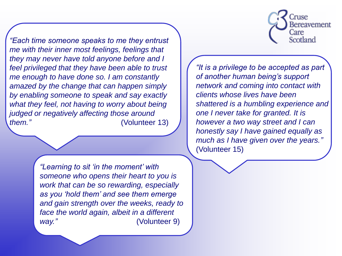Cruse Bereavement Care Scotland

*"Each time someone speaks to me they entrust me with their inner most feelings, feelings that they may never have told anyone before and I feel privileged that they have been able to trust me enough to have done so. I am constantly amazed by the change that can happen simply by enabling someone to speak and say exactly what they feel, not having to worry about being judged or negatively affecting those around them."* (Volunteer 13)

*"It is a privilege to be accepted as part of another human being's support network and coming into contact with clients whose lives have been shattered is a humbling experience and one I never take for granted. It is however a two way street and I can honestly say I have gained equally as much as I have given over the years."*  (Volunteer 15)

*"Learning to sit 'in the moment' with someone who opens their heart to you is work that can be so rewarding, especially as you 'hold them' and see them emerge and gain strength over the weeks, ready to face the world again, albeit in a different way."* (Volunteer 9)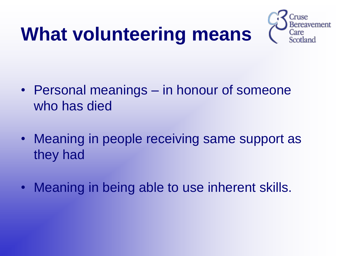## **What volunteering means**



- Personal meanings in honour of someone who has died
- Meaning in people receiving same support as they had
- Meaning in being able to use inherent skills.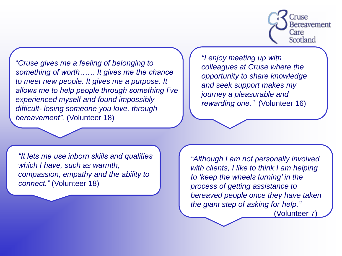

"*Cruse gives me a feeling of belonging to something of worth…… It gives me the chance to meet new people. It gives me a purpose. It allows me to help people through something I've experienced myself and found impossibly difficult- losing someone you love, through bereavement".* (Volunteer 18)

*"I enjoy meeting up with colleagues at Cruse where the opportunity to share knowledge and seek support makes my journey a pleasurable and rewarding one."* (Volunteer 16)

*"It lets me use inborn skills and qualities which I have, such as warmth, compassion, empathy and the ability to connect."* (Volunteer 18)

*"Although I am not personally involved with clients, I like to think I am helping to 'keep the wheels turning' in the process of getting assistance to bereaved people once they have taken the giant step of asking for help."* (Volunteer 7)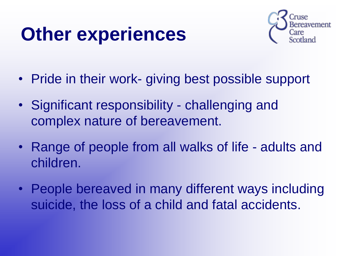# **Other experiences**



- Pride in their work- giving best possible support
- Significant responsibility challenging and complex nature of bereavement.
- Range of people from all walks of life adults and children.
- People bereaved in many different ways including suicide, the loss of a child and fatal accidents.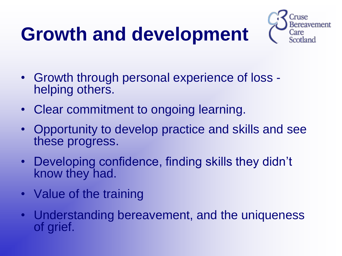# **Growth and development**



- Growth through personal experience of loss helping others.
- Clear commitment to ongoing learning.
- Opportunity to develop practice and skills and see these progress.
- Developing confidence, finding skills they didn't know they had.
- Value of the training
- Understanding bereavement, and the uniqueness of grief.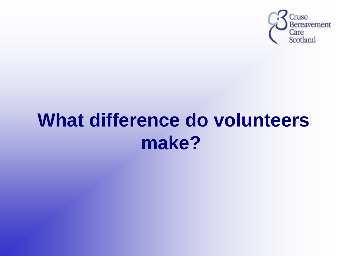

#### **What difference do volunteers make?**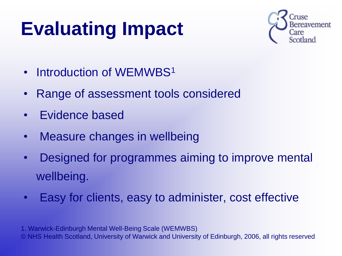# **Evaluating Impact**



- Introduction of WEMWBS<sup>1</sup>
- Range of assessment tools considered
- Evidence based
- Measure changes in wellbeing
- Designed for programmes aiming to improve mental wellbeing.
- Easy for clients, easy to administer, cost effective

1. Warwick-Edinburgh Mental Well-Being Scale (WEMWBS) © NHS Health Scotland, University of Warwick and University of Edinburgh, 2006, all rights reserved.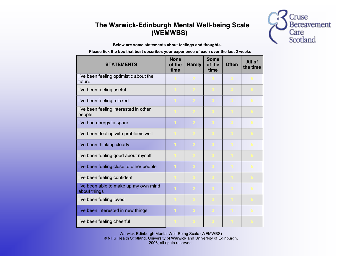#### The Warwick-Edinburgh Mental Well-being Scale (WEMWBS)



Below are some statements about feelings and thoughts.

Please tick the box that best describes your experience of each over the last 2 weeks

| <b>STATEMENTS</b>                                     | <b>None</b><br>of the<br>time | <b>Rarely</b> | Some<br>of the<br>time | <b>Often</b> | All of<br>the time |
|-------------------------------------------------------|-------------------------------|---------------|------------------------|--------------|--------------------|
| I've been feeling optimistic about the<br>future      |                               |               |                        |              |                    |
| I've been feeling useful                              |                               |               |                        |              |                    |
| I've been feeling relaxed                             |                               |               |                        |              |                    |
| I've been feeling interested in other<br>people       |                               |               |                        |              |                    |
| I've had energy to spare                              |                               |               |                        |              |                    |
| I've been dealing with problems well                  |                               |               |                        |              |                    |
| I've been thinking clearly                            |                               |               |                        |              |                    |
| I've been feeling good about myself                   |                               |               |                        |              |                    |
| I've been feeling close to other people               |                               |               |                        |              |                    |
| I've been feeling confident                           |                               |               |                        |              |                    |
| I've been able to make up my own mind<br>about things |                               |               |                        |              |                    |
| I've been feeling loved                               |                               |               |                        |              |                    |
| I've been interested in new things                    |                               |               |                        |              |                    |
| I've been feeling cheerful                            |                               |               |                        |              |                    |

Warwick-Edinburgh Mental Well-Being Scale (WEMWBS) © NHS Health Scotland, University of Warwick and University of Edinburgh, 2006, all rights reserved.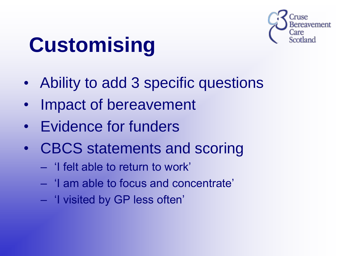

# **Customising**

- Ability to add 3 specific questions
- Impact of bereavement
- Evidence for funders
- CBCS statements and scoring
	- 'I felt able to return to work'
	- 'I am able to focus and concentrate'
	- 'I visited by GP less often'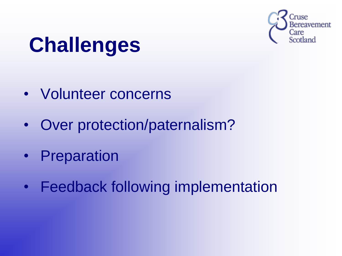

# **Challenges**

- Volunteer concerns
- Over protection/paternalism?
- Preparation
- Feedback following implementation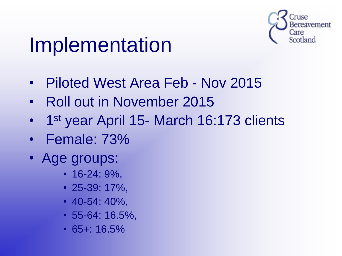

# Implementation

- Piloted West Area Feb Nov 2015
- Roll out in November 2015
- 1<sup>st</sup> year April 15- March 16:173 clients
- Female: 73%
- Age groups:
	- 16-24: 9%,
	- 25-39: 17%,
	- 40-54: 40%,
	- 55-64: 16.5%,
	- 65+: 16.5%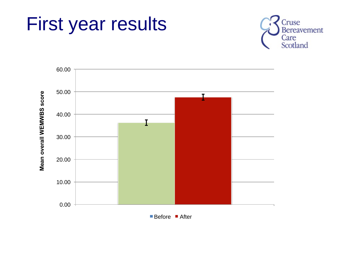



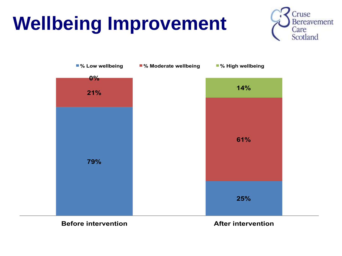# **Wellbeing Improvement**





**Before intervention After intervention**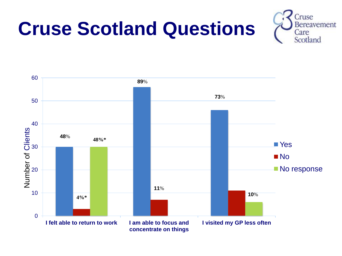## **Cruse Scotland Questions**



Cruse **Bereavement** Care Scotland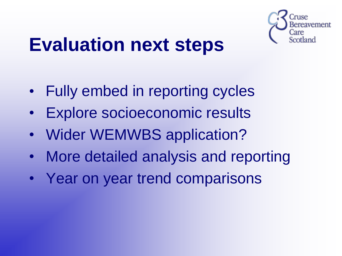

#### **Evaluation next steps**

- Fully embed in reporting cycles
- Explore socioeconomic results
- Wider WEMWBS application?
- More detailed analysis and reporting
- Year on year trend comparisons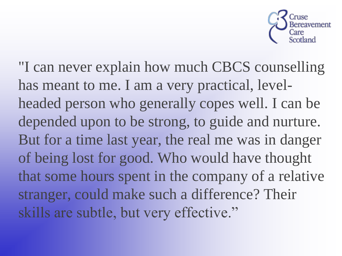

"I can never explain how much CBCS counselling has meant to me. I am a very practical, levelheaded person who generally copes well. I can be depended upon to be strong, to guide and nurture. But for a time last year, the real me was in danger of being lost for good. Who would have thought that some hours spent in the company of a relative stranger, could make such a difference? Their skills are subtle, but very effective."